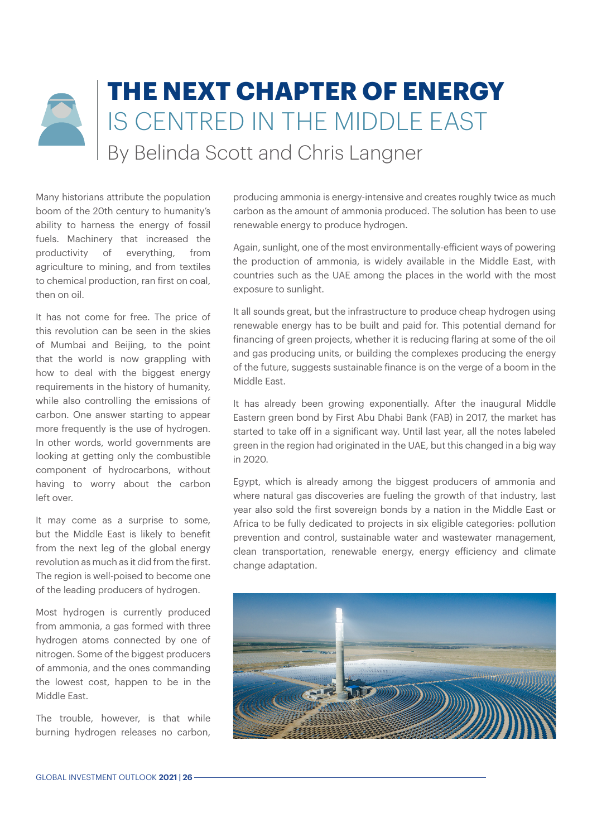## **THE NEXT CHAPTER OF ENERGY**  IS CENTRED IN THE MIDDLE EAST By Belinda Scott and Chris Langner

Many historians attribute the population boom of the 20th century to humanity's ability to harness the energy of fossil fuels. Machinery that increased the productivity of everything, from agriculture to mining, and from textiles to chemical production, ran first on coal, then on oil.

It has not come for free. The price of this revolution can be seen in the skies of Mumbai and Beijing, to the point that the world is now grappling with how to deal with the biggest energy requirements in the history of humanity, while also controlling the emissions of carbon. One answer starting to appear more frequently is the use of hydrogen. In other words, world governments are looking at getting only the combustible component of hydrocarbons, without having to worry about the carbon left over.

It may come as a surprise to some, but the Middle East is likely to benefit from the next leg of the global energy revolution as much as it did from the first. The region is well-poised to become one of the leading producers of hydrogen.

Most hydrogen is currently produced from ammonia, a gas formed with three hydrogen atoms connected by one of nitrogen. Some of the biggest producers of ammonia, and the ones commanding the lowest cost, happen to be in the Middle East.

The trouble, however, is that while burning hydrogen releases no carbon, producing ammonia is energy-intensive and creates roughly twice as much carbon as the amount of ammonia produced. The solution has been to use renewable energy to produce hydrogen.

Again, sunlight, one of the most environmentally-efficient ways of powering the production of ammonia, is widely available in the Middle East, with countries such as the UAE among the places in the world with the most exposure to sunlight.

It all sounds great, but the infrastructure to produce cheap hydrogen using renewable energy has to be built and paid for. This potential demand for financing of green projects, whether it is reducing flaring at some of the oil and gas producing units, or building the complexes producing the energy of the future, suggests sustainable finance is on the verge of a boom in the Middle East.

It has already been growing exponentially. After the inaugural Middle Eastern green bond by First Abu Dhabi Bank (FAB) in 2017, the market has started to take off in a significant way. Until last year, all the notes labeled green in the region had originated in the UAE, but this changed in a big way in 2020.

Egypt, which is already among the biggest producers of ammonia and where natural gas discoveries are fueling the growth of that industry, last year also sold the first sovereign bonds by a nation in the Middle East or Africa to be fully dedicated to projects in six eligible categories: pollution prevention and control, sustainable water and wastewater management, clean transportation, renewable energy, energy efficiency and climate change adaptation.